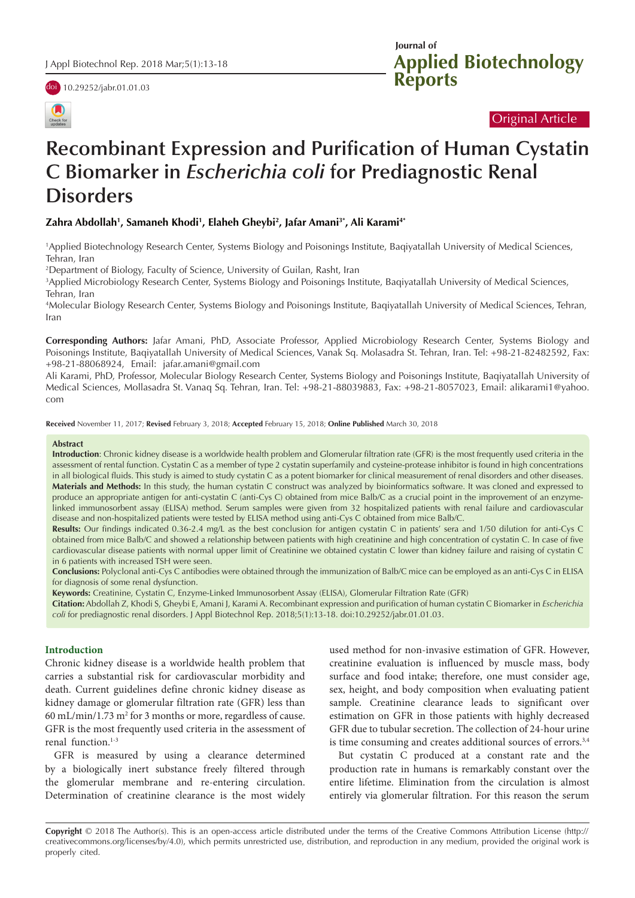

doi [10.29252/jabr.01.01.03](https://doi.org/10.29252/jabr.01.01.03)

**Applied Biotechnology Reports Journal of** 

# Original Article

# **Recombinant Expression and Purification of Human Cystatin C Biomarker in** *Escherichia coli* **for Prediagnostic Renal Disorders**

# **Zahra Abdollah1 , Samaneh Khodi1 , Elaheh Gheybi2 , Jafar Amani3\*, Ali Karami4\***

1 Applied Biotechnology Research Center, Systems Biology and Poisonings Institute, Baqiyatallah University of Medical Sciences, Tehran, Iran

2 Department of Biology, Faculty of Science, University of Guilan, Rasht, Iran

3 Applied Microbiology Research Center, Systems Biology and Poisonings Institute, Baqiyatallah University of Medical Sciences, Tehran, Iran

4 Molecular Biology Research Center, Systems Biology and Poisonings Institute, Baqiyatallah University of Medical Sciences, Tehran, Iran

**Corresponding Authors:** Jafar Amani, PhD, Associate Professor, Applied Microbiology Research Center, Systems Biology and Poisonings Institute, Baqiyatallah University of Medical Sciences, Vanak Sq. Molasadra St. Tehran, Iran. Tel: +98-21-82482592, Fax: +98-21-88068924, Email: jafar.amani@gmail.com

Ali Karami, PhD, Professor, Molecular Biology Research Center, Systems Biology and Poisonings Institute, Baqiyatallah University of Medical Sciences, Mollasadra St. Vanaq Sq. Tehran, Iran. Tel: +98-21-88039883, Fax: +98-21-8057023, Email: alikarami1@yahoo. com

**Received** November 11, 2017; **Revised** February 3, 2018; **Accepted** February 15, 2018; **Online Published** March 30, 2018

#### **Abstract**

**Introduction**: Chronic kidney disease is a worldwide health problem and Glomerular filtration rate (GFR) is the most frequently used criteria in the assessment of rental function. Cystatin C as a member of type 2 cystatin superfamily and cysteine-protease inhibitor is found in high concentrations in all biological fluids. This study is aimed to study cystatin C as a potent biomarker for clinical measurement of renal disorders and other diseases. **Materials and Methods:** In this study, the human cystatin C construct was analyzed by bioinformatics software. It was cloned and expressed to produce an appropriate antigen for anti-cystatin C (anti-Cys C) obtained from mice Balb/C as a crucial point in the improvement of an enzymelinked immunosorbent assay (ELISA) method. Serum samples were given from 32 hospitalized patients with renal failure and cardiovascular disease and non-hospitalized patients were tested by ELISA method using anti-Cys C obtained from mice Balb/C.

**Results:** Our findings indicated 0.36-2.4 mg/L as the best conclusion for antigen cystatin C in patients' sera and 1/50 dilution for anti-Cys C obtained from mice Balb/C and showed a relationship between patients with high creatinine and high concentration of cystatin C. In case of five cardiovascular disease patients with normal upper limit of Creatinine we obtained cystatin C lower than kidney failure and raising of cystatin C in 6 patients with increased TSH were seen.

**Conclusions:** Polyclonal anti-Cys C antibodies were obtained through the immunization of Balb/C mice can be employed as an anti-Cys C in ELISA for diagnosis of some renal dysfunction.

**Keywords:** Creatinine, Cystatin C, Enzyme-Linked Immunosorbent Assay (ELISA), Glomerular Filtration Rate (GFR)

**Citation:** Abdollah Z, Khodi S, Gheybi E, Amani J, Karami A. Recombinant expression and purification of human cystatin C Biomarker in *Escherichia coli* for prediagnostic renal disorders. J Appl Biotechnol Rep. 2018;5(1):13-18. doi:10.29252/jabr.01.01.03.

#### **Introduction**

Chronic kidney disease is a worldwide health problem that carries a substantial risk for cardiovascular morbidity and death. Current guidelines define chronic kidney disease as kidney damage or glomerular filtration rate (GFR) less than  $60 \text{ mL/min}/1.73 \text{ m}^2$  for 3 months or more, regardless of cause. GFR is the most frequently used criteria in the assessment of renal function.<sup>1-3</sup>

GFR is measured by using a clearance determined by a biologically inert substance freely filtered through the glomerular membrane and re-entering circulation. Determination of creatinine clearance is the most widely used method for non-invasive estimation of GFR. However, creatinine evaluation is influenced by muscle mass, body surface and food intake; therefore, one must consider age, sex, height, and body composition when evaluating patient sample. Creatinine clearance leads to significant over estimation on GFR in those patients with highly decreased GFR due to tubular secretion. The collection of 24-hour urine is time consuming and creates additional sources of errors.<sup>3,4</sup>

But cystatin C produced at a constant rate and the production rate in humans is remarkably constant over the entire lifetime. Elimination from the circulation is almost entirely via glomerular filtration. For this reason the serum

**Copyright** © 2018 The Author(s). This is an open-access article distributed under the terms of the Creative Commons Attribution License (http:// creativecommons.org/licenses/by/4.0), which permits unrestricted use, distribution, and reproduction in any medium, provided the original work is properly cited.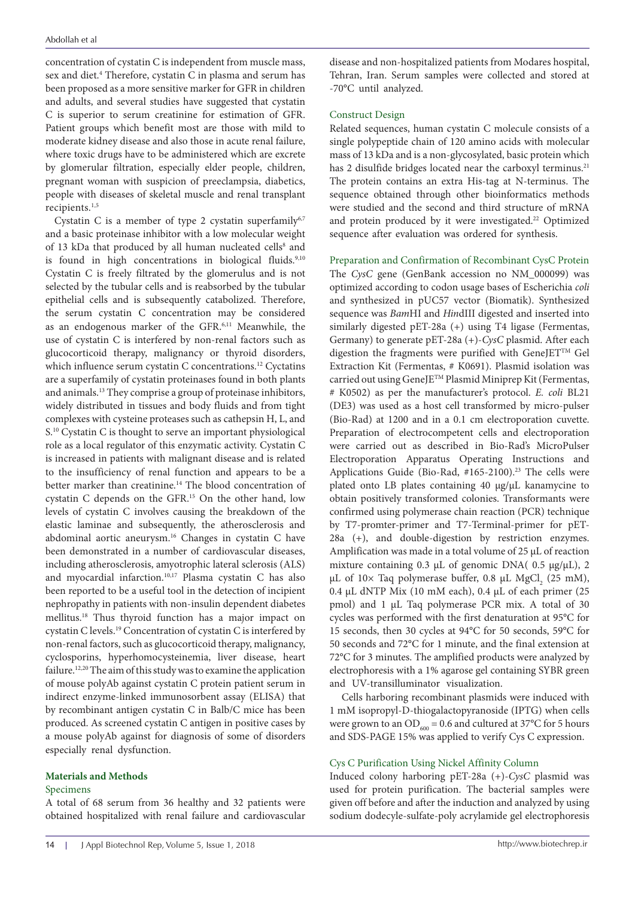concentration of cystatin C is independent from muscle mass, sex and diet.<sup>4</sup> Therefore, cystatin C in plasma and serum has been proposed as a more sensitive marker for GFR in children and adults, and several studies have suggested that cystatin C is superior to serum creatinine for estimation of GFR. Patient groups which benefit most are those with mild to moderate kidney disease and also those in acute renal failure, where toxic drugs have to be administered which are excrete by glomerular filtration, especially elder people, children, pregnant woman with suspicion of preeclampsia, diabetics, people with diseases of skeletal muscle and renal transplant recipients.1,5

Cystatin C is a member of type 2 cystatin superfamily<sup>6,7</sup> and a basic proteinase inhibitor with a low molecular weight of 13 kDa that produced by all human nucleated cells<sup>8</sup> and is found in high concentrations in biological fluids.<sup>9,10</sup> Cystatin C is freely filtrated by the glomerulus and is not selected by the tubular cells and is reabsorbed by the tubular epithelial cells and is subsequently catabolized. Therefore, the serum cystatin C concentration may be considered as an endogenous marker of the GFR.6,11 Meanwhile, the use of cystatin C is interfered by non-renal factors such as glucocorticoid therapy, malignancy or thyroid disorders, which influence serum cystatin C concentrations.<sup>12</sup> Cyctatins are a superfamily of cystatin proteinases found in both plants and animals.13 They comprise a group of proteinase inhibitors, widely distributed in tissues and body fluids and from tight complexes with cysteine proteases such as cathepsin H, L, and S.<sup>10</sup> Cystatin C is thought to serve an important physiological role as a local regulator of this enzymatic activity. Cystatin C is increased in patients with malignant disease and is related to the insufficiency of renal function and appears to be a better marker than creatinine.<sup>14</sup> The blood concentration of cystatin C depends on the GFR.15 On the other hand, low levels of cystatin C involves causing the breakdown of the elastic laminae and subsequently, the atherosclerosis and abdominal aortic aneurysm.16 Changes in cystatin C have been demonstrated in a number of cardiovascular diseases, including atherosclerosis, amyotrophic lateral sclerosis (ALS) and myocardial infarction.10,17 Plasma cystatin C has also been reported to be a useful tool in the detection of incipient nephropathy in patients with non-insulin dependent diabetes mellitus.18 Thus thyroid function has a major impact on cystatin C levels.19 Concentration of cystatin C is interfered by non-renal factors, such as glucocorticoid therapy, malignancy, cyclosporins, hyperhomocysteinemia, liver disease, heart failure.12,20 The aim of this study was to examine the application of mouse polyAb against cystatin C protein patient serum in indirect enzyme-linked immunosorbent assay (ELISA) that by recombinant antigen cystatin C in Balb/C mice has been produced. As screened cystatin C antigen in positive cases by a mouse polyAb against for diagnosis of some of disorders especially renal dysfunction.

#### **Materials and Methods**

#### Specimens

A total of 68 serum from 36 healthy and 32 patients were obtained hospitalized with renal failure and cardiovascular

disease and non-hospitalized patients from Modares hospital, Tehran, Iran. Serum samples were collected and stored at -70°C until analyzed.

### Construct Design

Related sequences, human cystatin C molecule consists of a single polypeptide chain of 120 amino acids with molecular mass of 13 kDa and is a non-glycosylated, basic protein which has 2 disulfide bridges located near the carboxyl terminus.<sup>21</sup> The protein contains an extra His-tag at N-terminus. The sequence obtained through other bioinformatics methods were studied and the second and third structure of mRNA and protein produced by it were investigated.<sup>22</sup> Optimized sequence after evaluation was ordered for synthesis.

Preparation and Confirmation of Recombinant CysC Protein The *CysC* gene (GenBank accession no NM\_000099) was optimized according to codon usage bases of Escherichia *coli* and synthesized in pUC57 vector (Biomatik). Synthesized sequence was *Bam*HI and *Hin*dIII digested and inserted into similarly digested pET-28a (+) using T4 ligase (Fermentas, Germany) to generate pET-28a (+)-*CysC* plasmid. After each digestion the fragments were purified with GeneJETTM Gel Extraction Kit (Fermentas, # K0691). Plasmid isolation was carried out using GeneJE™ Plasmid Miniprep Kit (Fermentas, # K0502) as per the manufacturer's protocol. *E. coli* BL21 (DE3) was used as a host cell transformed by micro-pulser (Bio-Rad) at 1200 and in a 0.1 cm electroporation cuvette. Preparation of electrocompetent cells and electroporation were carried out as described in Bio-Rad's MicroPulser Electroporation Apparatus Operating Instructions and Applications Guide (Bio-Rad, #165-2100).<sup>23</sup> The cells were plated onto LB plates containing 40 μg/μL kanamycine to obtain positively transformed colonies. Transformants were confirmed using polymerase chain reaction (PCR) technique by T7-promter-primer and T7-Terminal-primer for pET-28a (+), and double-digestion by restriction enzymes. Amplification was made in a total volume of 25 μL of reaction mixture containing 0.3 μL of genomic DNA( 0.5 μg/μL), 2 μL of 10× Taq polymerase buffer, 0.8 μL MgCl<sub>2</sub> (25 mM), 0.4 μL dNTP Mix (10 mM each), 0.4 μL of each primer (25 pmol) and 1 μL Taq polymerase PCR mix. A total of 30 cycles was performed with the first denaturation at 95°C for 15 seconds, then 30 cycles at 94°C for 50 seconds, 59°C for 50 seconds and 72°C for 1 minute, and the final extension at 72°C for 3 minutes. The amplified products were analyzed by electrophoresis with a 1% agarose gel containing SYBR green and UV-transilluminator visualization.

Cells harboring recombinant plasmids were induced with 1 mM isopropyl-D-thiogalactopyranoside (IPTG) when cells were grown to an OD $_{600}$  = 0.6 and cultured at 37°C for 5 hours and SDS-PAGE 15% was applied to verify Cys C expression.

## Cys C Purification Using Nickel Affinity Column

Induced colony harboring pET-28a (+)-*CysC* plasmid was used for protein purification. The bacterial samples were given off before and after the induction and analyzed by using sodium dodecyle-sulfate-poly acrylamide gel electrophoresis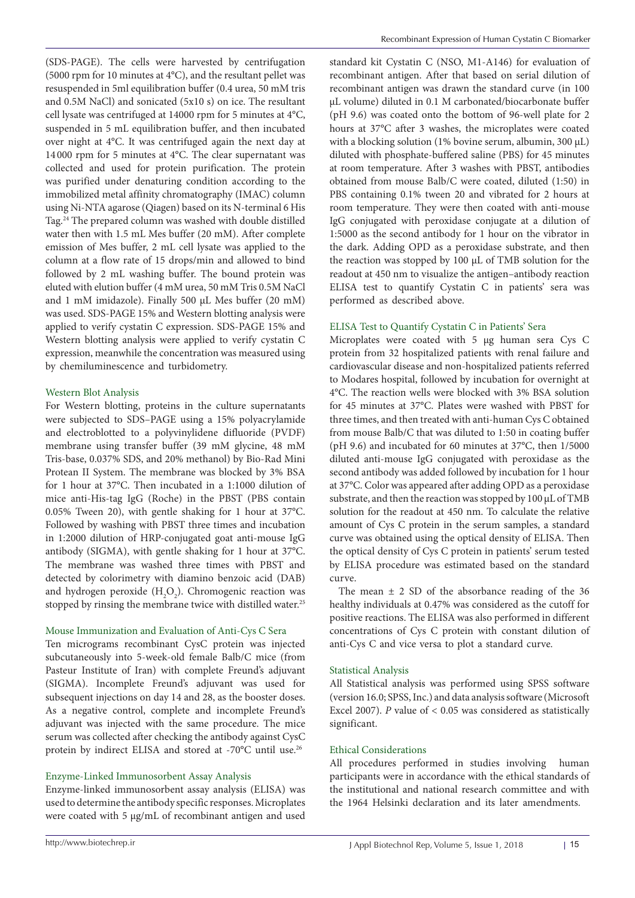(SDS-PAGE). The cells were harvested by centrifugation (5000 rpm for 10 minutes at 4°C), and the resultant pellet was resuspended in 5ml equilibration buffer (0.4 urea, 50 mM tris and 0.5M NaCl) and sonicated (5x10 s) on ice. The resultant cell lysate was centrifuged at 14000 rpm for 5 minutes at 4°C, suspended in 5 mL equilibration buffer, and then incubated over night at 4°C. It was centrifuged again the next day at 14 000 rpm for 5 minutes at 4°C. The clear supernatant was collected and used for protein purification. The protein was purified under denaturing condition according to the immobilized metal affinity chromatography (IMAC) column using Ni-NTA agarose (Qiagen) based on its N-terminal 6 His Tag.24 The prepared column was washed with double distilled water then with 1.5 mL Mes buffer (20 mM). After complete emission of Mes buffer, 2 mL cell lysate was applied to the column at a flow rate of 15 drops/min and allowed to bind followed by 2 mL washing buffer. The bound protein was eluted with elution buffer (4 mM urea, 50 mM Tris 0.5M NaCl and 1 mM imidazole). Finally 500 µL Mes buffer (20 mM) was used. SDS-PAGE 15% and Western blotting analysis were applied to verify cystatin C expression. SDS-PAGE 15% and Western blotting analysis were applied to verify cystatin C expression, meanwhile the concentration was measured using by chemiluminescence and turbidometry.

## Western Blot Analysis

For Western blotting, proteins in the culture supernatants were subjected to SDS–PAGE using a 15% polyacrylamide and electroblotted to a polyvinylidene difluoride (PVDF) membrane using transfer buffer (39 mM glycine, 48 mM Tris-base, 0.037% SDS, and 20% methanol) by Bio-Rad Mini Protean II System. The membrane was blocked by 3% BSA for 1 hour at 37°C. Then incubated in a 1:1000 dilution of mice anti-His-tag IgG (Roche) in the PBST (PBS contain 0.05% Tween 20), with gentle shaking for 1 hour at 37°C. Followed by washing with PBST three times and incubation in 1:2000 dilution of HRP-conjugated goat anti-mouse IgG antibody (SIGMA), with gentle shaking for 1 hour at 37°C. The membrane was washed three times with PBST and detected by colorimetry with diamino benzoic acid (DAB) and hydrogen peroxide  $(H_2O_2)$ . Chromogenic reaction was stopped by rinsing the membrane twice with distilled water.<sup>25</sup>

#### Mouse Immunization and Evaluation of Anti-Cys C Sera

Ten micrograms recombinant CysC protein was injected subcutaneously into 5-week-old female Balb/C mice (from Pasteur Institute of Iran) with complete Freund's adjuvant (SIGMA). Incomplete Freund's adjuvant was used for subsequent injections on day 14 and 28, as the booster doses. As a negative control, complete and incomplete Freund's adjuvant was injected with the same procedure. The mice serum was collected after checking the antibody against CysC protein by indirect ELISA and stored at -70°C until use.26

## Enzyme-Linked Immunosorbent Assay Analysis

Enzyme-linked immunosorbent assay analysis (ELISA) was used to determine the antibody specific responses. Microplates were coated with 5 µg/mL of recombinant antigen and used

standard kit Cystatin C (NSO, M1-A146) for evaluation of recombinant antigen. After that based on serial dilution of recombinant antigen was drawn the standard curve (in 100 μL volume) diluted in 0.1 M carbonated/biocarbonate buffer (pH 9.6) was coated onto the bottom of 96-well plate for 2 hours at 37°C after 3 washes, the microplates were coated with a blocking solution (1% bovine serum, albumin, 300 μL) diluted with phosphate-buffered saline (PBS) for 45 minutes at room temperature. After 3 washes with PBST, antibodies obtained from mouse Balb/C were coated, diluted (1:50) in PBS containing 0.1% tween 20 and vibrated for 2 hours at room temperature. They were then coated with anti-mouse IgG conjugated with peroxidase conjugate at a dilution of 1:5000 as the second antibody for 1 hour on the vibrator in the dark. Adding OPD as a peroxidase substrate, and then the reaction was stopped by 100 µL of TMB solution for the readout at 450 nm to visualize the antigen–antibody reaction ELISA test to quantify Cystatin C in patients' sera was performed as described above.

## ELISA Test to Quantify Cystatin C in Patients' Sera

Microplates were coated with 5 µg human sera Cys C protein from 32 hospitalized patients with renal failure and cardiovascular disease and non-hospitalized patients referred to Modares hospital, followed by incubation for overnight at 4°C. The reaction wells were blocked with 3% BSA solution for 45 minutes at 37°C. Plates were washed with PBST for three times, and then treated with anti-human Cys C obtained from mouse Balb/C that was diluted to 1:50 in coating buffer (pH 9.6) and incubated for 60 minutes at 37°C, then 1/5000 diluted anti-mouse IgG conjugated with peroxidase as the second antibody was added followed by incubation for 1 hour at 37°C. Color was appeared after adding OPD as a peroxidase substrate, and then the reaction was stopped by 100 µL of TMB solution for the readout at 450 nm. To calculate the relative amount of Cys C protein in the serum samples, a standard curve was obtained using the optical density of ELISA. Then the optical density of Cys C protein in patients' serum tested by ELISA procedure was estimated based on the standard curve.

The mean  $\pm$  2 SD of the absorbance reading of the 36 healthy individuals at 0.47% was considered as the cutoff for positive reactions. The ELISA was also performed in different concentrations of Cys C protein with constant dilution of anti-Cys C and vice versa to plot a standard curve.

## Statistical Analysis

All Statistical analysis was performed using SPSS software (version 16.0; SPSS, Inc.) and data analysis software (Microsoft Excel 2007). *P* value of < 0.05 was considered as statistically significant.

## Ethical Considerations

All procedures performed in studies involving human participants were in accordance with the ethical standards of the institutional and national research committee and with the 1964 Helsinki declaration and its later amendments.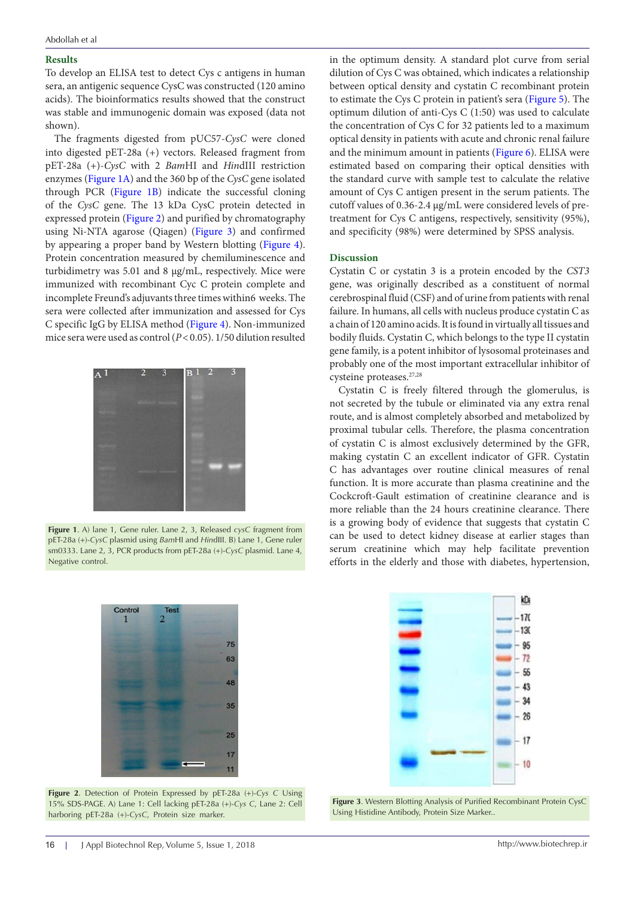#### **Results**

To develop an ELISA test to detect Cys c antigens in human sera, an antigenic sequence CysC was constructed (120 amino acids). The bioinformatics results showed that the construct was stable and immunogenic domain was exposed (data not shown).

The fragments digested from pUC57-*CysC* were cloned into digested pET-28a (+) vectors. Released fragment from pET-28a (+)-*CysC* with 2 *Bam*HI and *Hin*dIII restriction enzymes ([Figure 1A](#page-3-0)) and the 360 bp of the *CysC* gene isolated through PCR ([Figure 1B](#page-3-0)) indicate the successful cloning of the *CysC* gene. The 13 kDa CysC protein detected in expressed protein [\(Figure 2](#page-3-1)) and purified by chromatography using Ni-NTA agarose (Qiagen) ([Figure 3\)](#page-3-2) and confirmed by appearing a proper band by Western blotting ([Figure 4\)](#page-4-0). Protein concentration measured by chemiluminescence and turbidimetry was 5.01 and 8 µg/mL, respectively. Mice were immunized with recombinant Cyc C protein complete and incomplete Freund's adjuvants three times within6 weeks. The sera were collected after immunization and assessed for Cys C specific IgG by ELISA method [\(Figure 4\)](#page-4-0). Non-immunized mice sera were used as control (*P*<0.05). 1/50 dilution resulted

<span id="page-3-0"></span>

**Figure 1**. A) lane 1, Gene ruler. Lane 2, 3, Released *cysC* fragment from pET-28a (+)-*CysC* plasmid using *Bam*HI and *Hin*dIII. B) Lane 1, Gene ruler sm0333. Lane 2, 3, PCR products from pET-28a (+)-*CysC* plasmid. Lane 4, Negative control.

<span id="page-3-1"></span>

**Figure 2**. Detection of Protein Expressed by pET-28a (+)-*Cys C* Using 15% SDS-PAGE. A) Lane 1: Cell lacking pET-28a (+)-*Cys C*, Lane 2: Cell harboring pET-28a (+)-*CysC*, Protein size marker.

in the optimum density. A standard plot curve from serial dilution of Cys C was obtained, which indicates a relationship between optical density and cystatin C recombinant protein to estimate the Cys C protein in patient's sera ([Figure 5\)](#page-4-1). The optimum dilution of anti-Cys C (1:50) was used to calculate the concentration of Cys C for 32 patients led to a maximum optical density in patients with acute and chronic renal failure and the minimum amount in patients ([Figure 6\)](#page-4-2). ELISA were estimated based on comparing their optical densities with the standard curve with sample test to calculate the relative amount of Cys C antigen present in the serum patients. The cutoff values of 0.36-2.4 µg/mL were considered levels of pretreatment for Cys C antigens, respectively, sensitivity (95%), and specificity (98%) were determined by SPSS analysis.

#### **Discussion**

Cystatin C or cystatin 3 is a protein encoded by the *CST3* gene, was originally described as a constituent of normal cerebrospinal fluid (CSF) and of urine from patients with renal failure. In humans, all cells with nucleus produce cystatin C as a chain of 120 amino acids. It is found in virtually all tissues and bodily fluids. Cystatin C, which belongs to the type II cystatin gene family, is a potent inhibitor of lysosomal proteinases and probably one of the most important extracellular inhibitor of cysteine proteases.27,28

Cystatin C is freely filtered through the glomerulus, is not secreted by the tubule or eliminated via any extra renal route, and is almost completely absorbed and metabolized by proximal tubular cells. Therefore, the plasma concentration of cystatin C is almost exclusively determined by the GFR, making cystatin C an excellent indicator of GFR. Cystatin C has advantages over routine clinical measures of renal function. It is more accurate than plasma creatinine and the Cockcroft-Gault estimation of creatinine clearance and is more reliable than the 24 hours creatinine clearance. There is a growing body of evidence that suggests that cystatin C can be used to detect kidney disease at earlier stages than serum creatinine which may help facilitate prevention efforts in the elderly and those with diabetes, hypertension,

<span id="page-3-2"></span>

**Figure 3**. Western Blotting Analysis of Purified Recombinant Protein CysC Using Histidine Antibody, Protein Size Marker..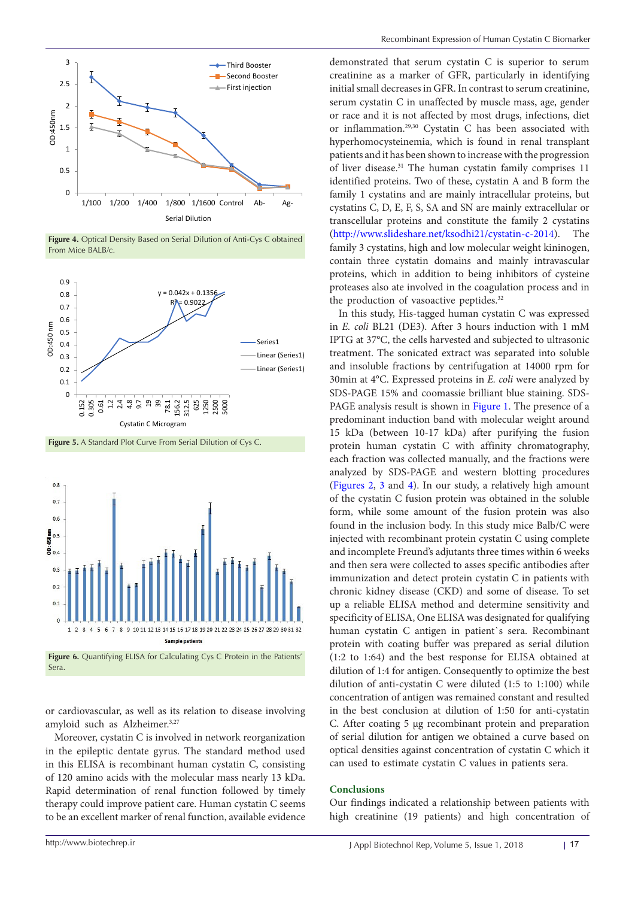<span id="page-4-0"></span>

**Figure 4.** Optical Density Based on Serial Dilution of Anti-Cys C obtained From Mice BALB/c.

<span id="page-4-1"></span>

**Figure 5.** A Standard Plot Curve From Serial Dilution of Cys C.

<span id="page-4-2"></span>

Figure 6. Quantifying ELISA for Calculating Cys C Protein in the Patients' Sera.

or cardiovascular, as well as its relation to disease involving amyloid such as Alzheimer.<sup>3,27</sup>

Moreover, cystatin C is involved in network reorganization in the epileptic dentate gyrus. The standard method used in this ELISA is recombinant human cystatin C, consisting of 120 amino acids with the molecular mass nearly 13 kDa. Rapid determination of renal function followed by timely therapy could improve patient care. Human cystatin C seems to be an excellent marker of renal function, available evidence

demonstrated that serum cystatin C is superior to serum creatinine as a marker of GFR, particularly in identifying initial small decreases in GFR. In contrast to serum creatinine, serum cystatin C in unaffected by muscle mass, age, gender or race and it is not affected by most drugs, infections, diet or inflammation.29,30 Cystatin C has been associated with hyperhomocysteinemia, which is found in renal transplant patients and it has been shown to increase with the progression of liver disease.<sup>31</sup> The human cystatin family comprises 11 identified proteins. Two of these, cystatin A and B form the family 1 cystatins and are mainly intracellular proteins, but cystatins C, D, E, F, S, SA and SN are mainly extracellular or transcellular proteins and constitute the family 2 cystatins [\(http://www.slideshare.net/ksodhi21/cystatin-c-2014\)](http://www.slideshare.net/ksodhi21/cystatin-c-2014). The family 3 cystatins, high and low molecular weight kininogen, contain three cystatin domains and mainly intravascular proteins, which in addition to being inhibitors of cysteine proteases also ate involved in the coagulation process and in the production of vasoactive peptides.<sup>32</sup>

In this study, His-tagged human cystatin C was expressed in *E. coli* BL21 (DE3). After 3 hours induction with 1 mM IPTG at 37°C, the cells harvested and subjected to ultrasonic treatment. The sonicated extract was separated into soluble and insoluble fractions by centrifugation at 14000 rpm for 30min at 4°C. Expressed proteins in *E. coli* were analyzed by SDS-PAGE 15% and coomassie brilliant blue staining. SDS-PAGE analysis result is shown in Figure 1. The presence of a predominant induction band with molecular weight around 15 kDa (between 10-17 kDa) after purifying the fusion protein human cystatin C with affinity chromatography, each fraction was collected manually, and the fractions were analyzed by SDS-PAGE and western blotting procedures [\(Figures 2](#page-3-1), [3](#page-3-2) and [4](#page-4-0)). In our study, a relatively high amount of the cystatin C fusion protein was obtained in the soluble form, while some amount of the fusion protein was also found in the inclusion body. In this study mice Balb/C were injected with recombinant protein cystatin C using complete and incomplete Freund's adjutants three times within 6 weeks and then sera were collected to asses specific antibodies after immunization and detect protein cystatin C in patients with chronic kidney disease (CKD) and some of disease. To set up a reliable ELISA method and determine sensitivity and specificity of ELISA, One ELISA was designated for qualifying human cystatin C antigen in patient`s sera. Recombinant protein with coating buffer was prepared as serial dilution (1:2 to 1:64) and the best response for ELISA obtained at dilution of 1:4 for antigen. Consequently to optimize the best dilution of anti-cystatin C were diluted (1:5 to 1:100) while concentration of antigen was remained constant and resulted in the best conclusion at dilution of 1:50 for anti-cystatin C. After coating 5 µg recombinant protein and preparation of serial dilution for antigen we obtained a curve based on optical densities against concentration of cystatin C which it can used to estimate cystatin C values in patients sera.

#### **Conclusions**

Our findings indicated a relationship between patients with high creatinine (19 patients) and high concentration of